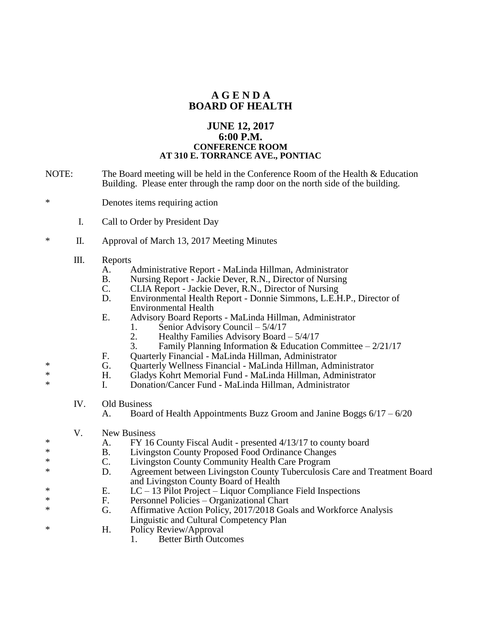## **A G E N D A BOARD OF HEALTH**

## **JUNE 12, 2017 6:00 P.M. CONFERENCE ROOM AT 310 E. TORRANCE AVE., PONTIAC**

- NOTE: The Board meeting will be held in the Conference Room of the Health & Education Building. Please enter through the ramp door on the north side of the building.
- \* Denotes items requiring action
	- I. Call to Order by President Day
- \* II. Approval of March 13, 2017 Meeting Minutes
	- III. Reports
		- A. Administrative Report MaLinda Hillman, Administrator
		- B. Nursing Report Jackie Dever, R.N., Director of Nursing
		- C. CLIA Report Jackie Dever, R.N., Director of Nursing
		- D. Environmental Health Report Donnie Simmons, L.E.H.P., Director of Environmental Health
		- E. Advisory Board Reports MaLinda Hillman, Administrator
			- 1. Senior Advisory Council 5/4/17
			- 2. Healthy Families Advisory Board  $5/4/17$ <br>3. Family Planning Information & Education
			- Family Planning Information & Education Committee  $-2/21/17$
		- F. Quarterly Financial MaLinda Hillman, Administrator
- \* G. Quarterly Wellness Financial MaLinda Hillman, Administrator<br>
Financial Gladys Kohrt Memorial Fund MaLinda Hillman, Administrator
- \* H. Gladys Kohrt Memorial Fund MaLinda Hillman, Administrator<br>
F. Constitution Cancer Fund MaLinda Hillman, Administrator
	- I. Donation/Cancer Fund MaLinda Hillman, Administrator
		- IV. Old Business
			- A. Board of Health Appointments Buzz Groom and Janine Boggs  $6/17 6/20$
	- V. New Business
- \* A. FY 16 County Fiscal Audit presented 4/13/17 to county board<br>
R. Livingston County Proposed Food Ordinance Changes
- B. Livingston County Proposed Food Ordinance Changes
- \* C. Livingston County Community Health Care Program<br>  $\sum_{n=0}^{\infty}$  A greement between Livingston County Tuberculosis (
	- D. Agreement between Livingston County Tuberculosis Care and Treatment Board and Livingston County Board of Health<br>E. LC – 13 Pilot Project – Liquor Complian
- \*<br>
E. LC 13 Pilot Project Liquor Compliance Field Inspections<br>
F. Personnel Policies Organizational Chart
	- Personnel Policies Organizational Chart
- \* G. Affirmative Action Policy, 2017/2018 Goals and Workforce Analysis Linguistic and Cultural Competency Plan
- \* H. Policy Review/Approval
	- 1. Better Birth Outcomes